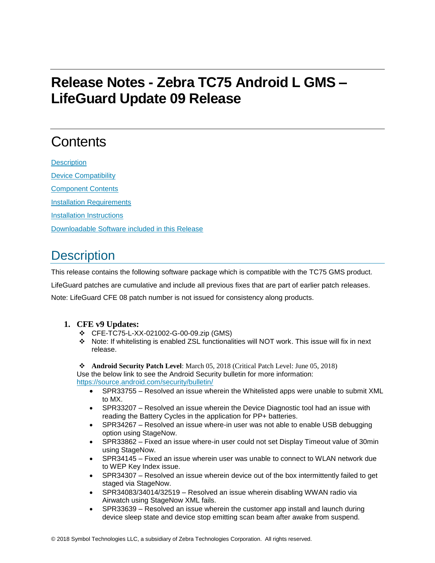# **Release Notes - Zebra TC75 Android L GMS – LifeGuard Update 09 Release**

# **Contents**

**[Description](#page-0-0)** [Device Compatibility](#page-3-0) [Component Contents](#page-3-1) [Installation Requirements](#page-4-0) [Installation Instructions](#page-4-1) [Downloadable Software included in this Release](#page-5-0)

## <span id="page-0-0"></span>**Description**

This release contains the following software package which is compatible with the TC75 GMS product.

LifeGuard patches are cumulative and include all previous fixes that are part of earlier patch releases.

Note: LifeGuard CFE 08 patch number is not issued for consistency along products.

### **1. CFE v9 Updates:**

- ❖ CFE-TC75-L-XX-021002-G-00-09.zip (GMS)
- ❖ Note: If whitelisting is enabled ZSL functionalities will NOT work. This issue will fix in next release.

❖ **Android Security Patch Level**: March 05, 2018 (Critical Patch Level: June 05, 2018) Use the below link to see the Android Security bulletin for more information:

<https://source.android.com/security/bulletin/>

- SPR33755 Resolved an issue wherein the Whitelisted apps were unable to submit XML to MX.
- SPR33207 Resolved an issue wherein the Device Diagnostic tool had an issue with reading the Battery Cycles in the application for PP+ batteries.
- SPR34267 Resolved an issue where-in user was not able to enable USB debugging option using StageNow.
- SPR33862 Fixed an issue where-in user could not set Display Timeout value of 30min using StageNow.
- SPR34145 Fixed an issue wherein user was unable to connect to WLAN network due to WEP Key Index issue.
- SPR34307 Resolved an issue wherein device out of the box intermittently failed to get staged via StageNow.
- SPR34083/34014/32519 Resolved an issue wherein disabling WWAN radio via Airwatch using StageNow XML fails.
- SPR33639 Resolved an issue wherein the customer app install and launch during device sleep state and device stop emitting scan beam after awake from suspend.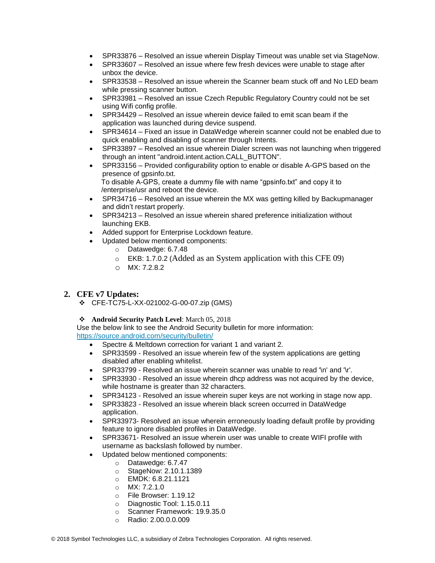- SPR33876 Resolved an issue wherein Display Timeout was unable set via StageNow.
- SPR33607 Resolved an issue where few fresh devices were unable to stage after unbox the device.
- SPR33538 Resolved an issue wherein the Scanner beam stuck off and No LED beam while pressing scanner button.
- SPR33981 Resolved an issue Czech Republic Regulatory Country could not be set using Wifi config profile.
- SPR34429 Resolved an issue wherein device failed to emit scan beam if the application was launched during device suspend.
- SPR34614 Fixed an issue in DataWedge wherein scanner could not be enabled due to quick enabling and disabling of scanner through Intents.
- SPR33897 Resolved an issue wherein Dialer screen was not launching when triggered through an intent "android.intent.action.CALL\_BUTTON".
- SPR33156 Provided configurability option to enable or disable A-GPS based on the presence of gpsinfo.txt. To disable A-GPS, create a dummy file with name "gpsinfo.txt" and copy it to /enterprise/usr and reboot the device.
- SPR34716 Resolved an issue wherein the MX was getting killed by Backupmanager and didn't restart properly.
- SPR34213 Resolved an issue wherein shared preference initialization without launching EKB.
- Added support for Enterprise Lockdown feature.
- Updated below mentioned components:
	- o Datawedge: 6.7.48
	- o EKB: 1.7.0.2 (Added as an System application with this CFE 09)
	- o MX: 7.2.8.2

### **2. CFE v7 Updates:**

❖ CFE-TC75-L-XX-021002-G-00-07.zip (GMS)

#### ❖ **Android Security Patch Level**: March 05, 2018

Use the below link to see the Android Security bulletin for more information:

<https://source.android.com/security/bulletin/>

- Spectre & Meltdown correction for variant 1 and variant 2.
- SPR33599 Resolved an issue wherein few of the system applications are getting disabled after enabling whitelist.
- SPR33799 Resolved an issue wherein scanner was unable to read '\n' and '\r'.
- SPR33930 Resolved an issue wherein dhcp address was not acquired by the device, while hostname is greater than 32 characters.
- SPR34123 Resolved an issue wherein super keys are not working in stage now app.
- SPR33823 Resolved an issue wherein black screen occurred in DataWedge application.
- SPR33973- Resolved an issue wherein erroneously loading default profile by providing feature to ignore disabled profiles in DataWedge.
- SPR33671- Resolved an issue wherein user was unable to create WIFI profile with username as backslash followed by number.
- Updated below mentioned components:
	- o Datawedge: 6.7.47
	- o StageNow: 2.10.1.1389
	- o EMDK: 6.8.21.1121
	- o MX: 7.2.1.0
	- o File Browser: 1.19.12
	- o Diagnostic Tool: 1.15.0.11
	- o Scanner Framework: 19.9.35.0
	- o Radio: 2.00.0.0.009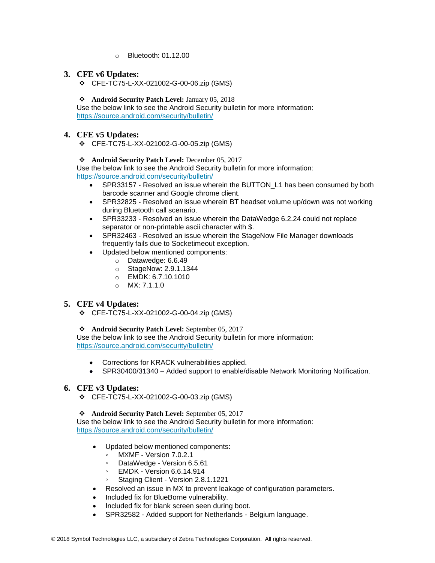o Bluetooth: 01.12.00

### **3. CFE v6 Updates:**

❖ CFE-TC75-L-XX-021002-G-00-06.zip (GMS)

#### ❖ **Android Security Patch Level:** January 05, 2018

Use the below link to see the Android Security bulletin for more information: <https://source.android.com/security/bulletin/>

### **4. CFE v5 Updates:**

❖ CFE-TC75-L-XX-021002-G-00-05.zip (GMS)

#### ❖ **Android Security Patch Level:** December 05, 2017

Use the below link to see the Android Security bulletin for more information: <https://source.android.com/security/bulletin/>

- SPR33157 Resolved an issue wherein the BUTTON\_L1 has been consumed by both barcode scanner and Google chrome client.
- SPR32825 Resolved an issue wherein BT headset volume up/down was not working during Bluetooth call scenario.
- SPR33233 Resolved an issue wherein the DataWedge 6.2.24 could not replace separator or non-printable ascii character with \$.
- SPR32463 Resolved an issue wherein the StageNow File Manager downloads frequently fails due to Socketimeout exception.
- Updated below mentioned components:
	- o Datawedge: 6.6.49
	- o StageNow: 2.9.1.1344
	- o EMDK: 6.7.10.1010
	- o MX: 7.1.1.0

### **5. CFE v4 Updates:**

❖ CFE-TC75-L-XX-021002-G-00-04.zip (GMS)

#### ❖ **Android Security Patch Level:** September 05, 2017

Use the below link to see the Android Security bulletin for more information: <https://source.android.com/security/bulletin/>

- Corrections for KRACK vulnerabilities applied.
- SPR30400/31340 Added support to enable/disable Network Monitoring Notification.

#### **6. CFE v3 Updates:**

❖ CFE-TC75-L-XX-021002-G-00-03.zip (GMS)

#### ❖ **Android Security Patch Level:** September 05, 2017

Use the below link to see the Android Security bulletin for more information: <https://source.android.com/security/bulletin/>

- Updated below mentioned components:
	- MXMF Version 7.0.2.1
	- DataWedge Version 6.5.61
	- EMDK Version 6.6.14.914
	- Staging Client Version 2.8.1.1221
- Resolved an issue in MX to prevent leakage of configuration parameters.
- Included fix for BlueBorne vulnerability.
- Included fix for blank screen seen during boot.
- SPR32582 Added support for Netherlands Belgium language.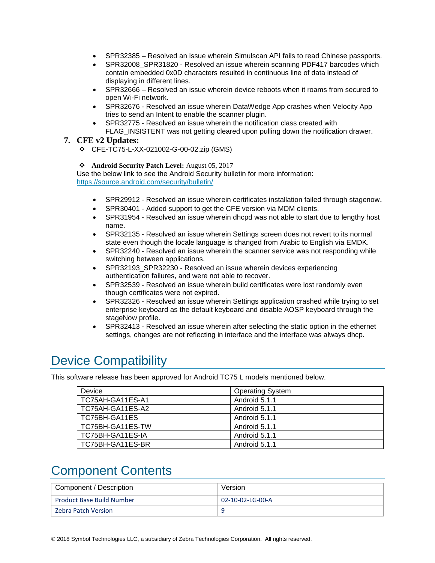- SPR32385 Resolved an issue wherein Simulscan API fails to read Chinese passports.
- SPR32008\_SPR31820 Resolved an issue wherein scanning PDF417 barcodes which contain embedded 0x0D characters resulted in continuous line of data instead of displaying in different lines.
- SPR32666 Resolved an issue wherein device reboots when it roams from secured to open Wi-Fi network.
- SPR32676 Resolved an issue wherein DataWedge App crashes when Velocity App tries to send an Intent to enable the scanner plugin.
- SPR32775 Resolved an issue wherein the notification class created with FLAG INSISTENT was not getting cleared upon pulling down the notification drawer.

#### **7. CFE v2 Updates:**

❖ CFE-TC75-L-XX-021002-G-00-02.zip (GMS)

#### ❖ **Android Security Patch Level:** August 05, 2017

Use the below link to see the Android Security bulletin for more information: <https://source.android.com/security/bulletin/>

- SPR29912 Resolved an issue wherein certificates installation failed through stagenow.
- SPR30401 Added support to get the CFE version via MDM clients.
- SPR31954 Resolved an issue wherein dhcpd was not able to start due to lengthy host name.
- SPR32135 Resolved an issue wherein Settings screen does not revert to its normal state even though the locale language is changed from Arabic to English via EMDK.
- SPR32240 Resolved an issue wherein the scanner service was not responding while switching between applications.
- SPR32193\_SPR32230 Resolved an issue wherein devices experiencing authentication failures, and were not able to recover.
- SPR32539 Resolved an issue wherein build certificates were lost randomly even though certificates were not expired.
- SPR32326 Resolved an issue wherein Settings application crashed while trying to set enterprise keyboard as the default keyboard and disable AOSP keyboard through the stageNow profile.
- SPR32413 Resolved an issue wherein after selecting the static option in the ethernet settings, changes are not reflecting in interface and the interface was always dhcp.

## <span id="page-3-0"></span>Device Compatibility

This software release has been approved for Android TC75 L models mentioned below.

| Device           | <b>Operating System</b> |
|------------------|-------------------------|
| TC75AH-GA11ES-A1 | Android 5.1.1           |
| TC75AH-GA11ES-A2 | Android 5.1.1           |
| TC75BH-GA11ES    | Android 5.1.1           |
| TC75BH-GA11ES-TW | Android 5.1.1           |
| TC75BH-GA11ES-IA | Android 5.1.1           |
| TC75BH-GA11ES-BR | Android 5.1.1           |

## <span id="page-3-1"></span>Component Contents

| Component / Description          | Version          |
|----------------------------------|------------------|
| <b>Product Base Build Number</b> | 02-10-02-LG-00-A |
| <b>Zebra Patch Version</b>       | c                |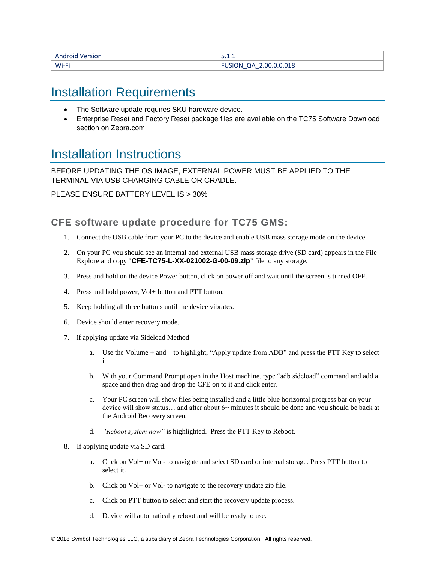| <b>Android Version</b> | ----                                                  |
|------------------------|-------------------------------------------------------|
| Wi-Fi                  | 2.00.0.0.018<br>า∆<br>1N)<br>$\overline{\phantom{a}}$ |

## <span id="page-4-0"></span>Installation Requirements

- The Software update requires SKU hardware device.
- Enterprise Reset and Factory Reset package files are available on the TC75 Software Download section on Zebra.com

## <span id="page-4-1"></span>Installation Instructions

BEFORE UPDATING THE OS IMAGE, EXTERNAL POWER MUST BE APPLIED TO THE TERMINAL VIA USB CHARGING CABLE OR CRADLE.

PLEASE ENSURE BATTERY LEVEL IS > 30%

### CFE software update procedure for TC75 GMS:

- 1. Connect the USB cable from your PC to the device and enable USB mass storage mode on the device.
- 2. On your PC you should see an internal and external USB mass storage drive (SD card) appears in the File Explore and copy "**CFE-TC75-L-XX-021002-G-00-09.zip**" file to any storage.
- 3. Press and hold on the device Power button, click on power off and wait until the screen is turned OFF.
- 4. Press and hold power, Vol+ button and PTT button.
- 5. Keep holding all three buttons until the device vibrates.
- 6. Device should enter recovery mode.
- 7. if applying update via Sideload Method
	- a. Use the Volume + and to highlight, "Apply update from ADB" and press the PTT Key to select it
	- b. With your Command Prompt open in the Host machine, type "adb sideload" command and add a space and then drag and drop the CFE on to it and click enter.
	- c. Your PC screen will show files being installed and a little blue horizontal progress bar on your device will show status... and after about  $6<$  minutes it should be done and you should be back at the Android Recovery screen.
	- d. *"Reboot system now"* is highlighted. Press the PTT Key to Reboot.
- 8. If applying update via SD card.
	- a. Click on Vol+ or Vol- to navigate and select SD card or internal storage. Press PTT button to select it.
	- b. Click on Vol+ or Vol- to navigate to the recovery update zip file.
	- c. Click on PTT button to select and start the recovery update process.
	- d. Device will automatically reboot and will be ready to use.